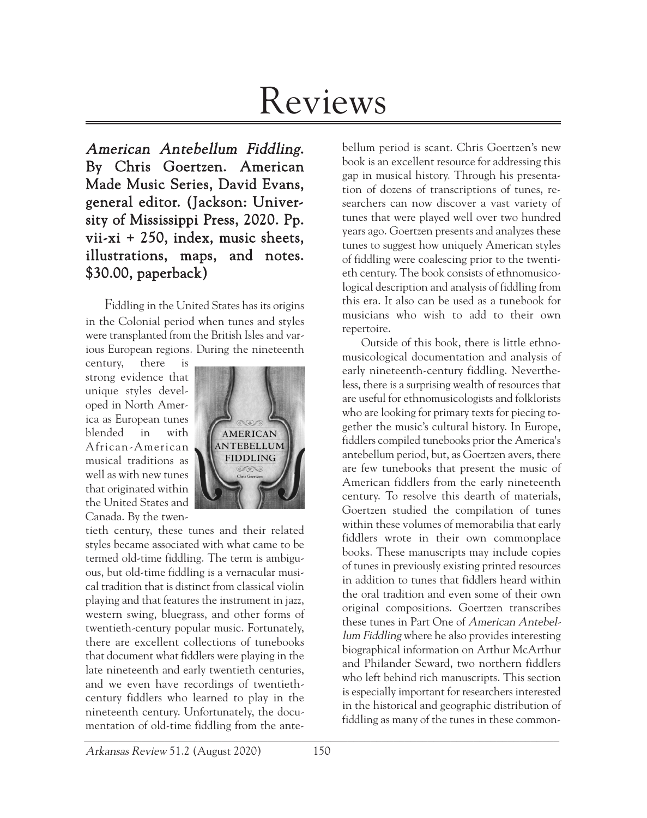# Reviews

American Antebellum Fiddling. By Chris Goertzen. American Made Music Series, David Evans, general editor. (Jackson: University of Mississippi Press, 2020. Pp. vii-xi + 250, index, music sheets, illustrations, maps, and notes. \$30.00, paperback)

Fiddling in the United States has its origins in the Colonial period when tunes and styles were transplanted from the British Isles and various European regions. During the nineteenth

century, there is strong evidence that unique styles developed in North America as European tunes blended in with African-American musical traditions as well as with new tunes that originated within the United States and Canada. By the twen-



\_\_\_\_\_\_\_\_\_\_\_\_\_\_\_\_\_\_\_\_\_\_\_\_\_\_\_\_\_\_\_\_\_\_\_\_\_\_\_\_\_\_\_\_\_\_\_\_\_\_\_\_\_\_\_\_\_\_\_\_\_\_\_\_\_\_\_\_\_\_\_\_\_\_\_\_\_\_\_\_\_\_\_ tieth century, these tunes and their related styles became associated with what came to be termed old-time fiddling. The term is ambiguous, but old-time fiddling is a vernacular musical tradition that is distinct from classical violin playing and that features the instrument in jazz, western swing, bluegrass, and other forms of twentieth-century popular music. Fortunately, there are excellent collections of tunebooks that document what fiddlers were playing in the late nineteenth and early twentieth centuries, and we even have recordings of twentiethcentury fiddlers who learned to play in the nineteenth century. Unfortunately, the documentation of old-time fiddling from the ante-

bellum period is scant. Chris Goertzen's new book is an excellent resource for addressing this gap in musical history. Through his presentation of dozens of transcriptions of tunes, researchers can now discover a vast variety of tunes that were played well over two hundred years ago. Goertzen presents and analyzes these tunes to suggest how uniquely American styles of fiddling were coalescing prior to the twentieth century. The book consists of ethnomusicological description and analysis of fiddling from this era. It also can be used as a tunebook for musicians who wish to add to their own repertoire.

Outside of this book, there is little ethnomusicological documentation and analysis of early nineteenth-century fiddling. Nevertheless, there is a surprising wealth of resources that are useful for ethnomusicologists and folklorists who are looking for primary texts for piecing together the music's cultural history. In Europe, fiddlers compiled tunebooks prior the America's antebellum period, but, as Goertzen avers, there are few tunebooks that present the music of American fiddlers from the early nineteenth century. To resolve this dearth of materials, Goertzen studied the compilation of tunes within these volumes of memorabilia that early fiddlers wrote in their own commonplace books. These manuscripts may include copies of tunes in previously existing printed resources in addition to tunes that fiddlers heard within the oral tradition and even some of their own original compositions. Goertzen transcribes these tunes in Part One of American Antebellum Fiddling where he also provides interesting biographical information on Arthur McArthur and Philander Seward, two northern fiddlers who left behind rich manuscripts. This section is especially important for researchers interested in the historical and geographic distribution of fiddling as many of the tunes in these common-

Arkansas Review 51.2 (August 2020) 150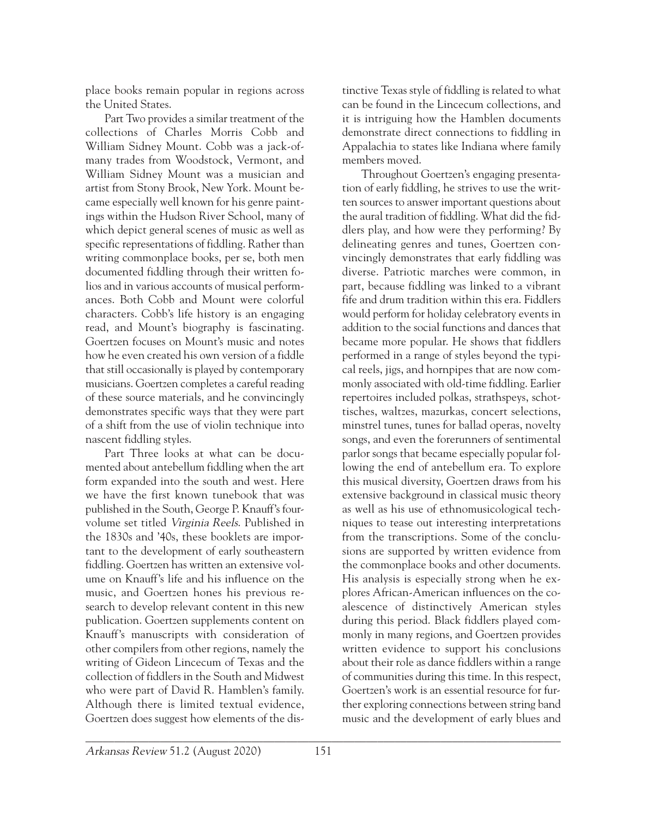place books remain popular in regions across the United States.

Part Two provides a similar treatment of the collections of Charles Morris Cobb and William Sidney Mount. Cobb was a jack-ofmany trades from Woodstock, Vermont, and William Sidney Mount was a musician and artist from Stony Brook, New York. Mount became especially well known for his genre paintings within the Hudson River School, many of which depict general scenes of music as well as specific representations of fiddling. Rather than writing commonplace books, per se, both men documented fiddling through their written folios and in various accounts of musical performances. Both Cobb and Mount were colorful characters. Cobb's life history is an engaging read, and Mount's biography is fascinating. Goertzen focuses on Mount's music and notes how he even created his own version of a fiddle that still occasionally is played by contemporary musicians. Goertzen completes a careful reading of these source materials, and he convincingly demonstrates specific ways that they were part of a shift from the use of violin technique into nascent fiddling styles.

Part Three looks at what can be documented about antebellum fiddling when the art form expanded into the south and west. Here we have the first known tunebook that was published in the South, George P. Knauff's fourvolume set titled Virginia Reels. Published in the 1830s and '40s, these booklets are important to the development of early southeastern fiddling. Goertzen has written an extensive volume on Knauff's life and his influence on the music, and Goertzen hones his previous research to develop relevant content in this new publication. Goertzen supplements content on Knauff's manuscripts with consideration of other compilers from other regions, namely the writing of Gideon Lincecum of Texas and the collection of fiddlers in the South and Midwest who were part of David R. Hamblen's family. Although there is limited textual evidence, Goertzen does suggest how elements of the dis-

tinctive Texas style of fiddling is related to what can be found in the Lincecum collections, and it is intriguing how the Hamblen documents demonstrate direct connections to fiddling in Appalachia to states like Indiana where family members moved.

Throughout Goertzen's engaging presentation of early fiddling, he strives to use the written sources to answer important questions about the aural tradition of fiddling. What did the fiddlers play, and how were they performing? By delineating genres and tunes, Goertzen convincingly demonstrates that early fiddling was diverse. Patriotic marches were common, in part, because fiddling was linked to a vibrant fife and drum tradition within this era. Fiddlers would perform for holiday celebratory events in addition to the social functions and dances that became more popular. He shows that fiddlers performed in a range of styles beyond the typical reels, jigs, and hornpipes that are now commonly associated with old-time fiddling. Earlier repertoires included polkas, strathspeys, schottisches, waltzes, mazurkas, concert selections, minstrel tunes, tunes for ballad operas, novelty songs, and even the forerunners of sentimental parlor songs that became especially popular following the end of antebellum era. To explore this musical diversity, Goertzen draws from his extensive background in classical music theory as well as his use of ethnomusicological techniques to tease out interesting interpretations from the transcriptions. Some of the conclusions are supported by written evidence from the commonplace books and other documents. His analysis is especially strong when he explores African-American influences on the coalescence of distinctively American styles during this period. Black fiddlers played commonly in many regions, and Goertzen provides written evidence to support his conclusions about their role as dance fiddlers within a range of communities during this time. In this respect, Goertzen's work is an essential resource for further exploring connections between string band music and the development of early blues and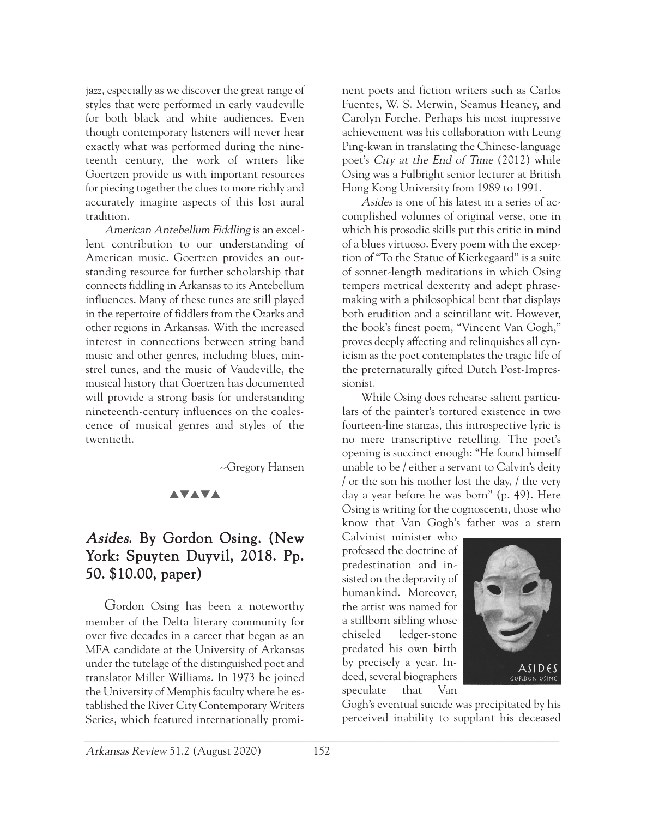jazz, especially as we discover the great range of styles that were performed in early vaudeville for both black and white audiences. Even though contemporary listeners will never hear exactly what was performed during the nineteenth century, the work of writers like Goertzen provide us with important resources for piecing together the clues to more richly and accurately imagine aspects of this lost aural tradition.

American Antebellum Fiddling is an excellent contribution to our understanding of American music. Goertzen provides an outstanding resource for further scholarship that connects fiddling in Arkansas to its Antebellum influences. Many of these tunes are still played in the repertoire of fiddlers from the Ozarks and other regions in Arkansas. With the increased interest in connections between string band music and other genres, including blues, minstrel tunes, and the music of Vaudeville, the musical history that Goertzen has documented will provide a strong basis for understanding nineteenth-century influences on the coalescence of musical genres and styles of the twentieth.

--Gregory Hansen

### **AVAVA**

## Asides. By Gordon Osing. (New York: Spuyten Duyvil, 2018. Pp. 50. \$10.00, paper)

Gordon Osing has been a noteworthy member of the Delta literary community for over five decades in a career that began as an MFA candidate at the University of Arkansas under the tutelage of the distinguished poet and translator Miller Williams. In 1973 he joined the University of Memphis faculty where he established the River City Contemporary Writers Series, which featured internationally prominent poets and fiction writers such as Carlos Fuentes, W. S. Merwin, Seamus Heaney, and Carolyn Forche. Perhaps his most impressive achievement was his collaboration with Leung Ping-kwan in translating the Chinese-language poet's City at the End of Time (2012) while Osing was a Fulbright senior lecturer at British Hong Kong University from 1989 to 1991.

Asides is one of his latest in a series of accomplished volumes of original verse, one in which his prosodic skills put this critic in mind of a blues virtuoso. Every poem with the exception of "To the Statue of Kierkegaard" is a suite of sonnet-length meditations in which Osing tempers metrical dexterity and adept phrasemaking with a philosophical bent that displays both erudition and a scintillant wit. However, the book's finest poem, "Vincent Van Gogh," proves deeply affecting and relinquishes all cynicism as the poet contemplates the tragic life of the preternaturally gifted Dutch Post-Impressionist.

While Osing does rehearse salient particulars of the painter's tortured existence in two fourteen-line stanzas, this introspective lyric is no mere transcriptive retelling. The poet's opening is succinct enough: "He found himself unable to be / either a servant to Calvin's deity / or the son his mother lost the day, / the very day a year before he was born" (p. 49). Here Osing is writing for the cognoscenti, those who know that Van Gogh's father was a stern

Calvinist minister who professed the doctrine of predestination and insisted on the depravity of humankind. Moreover, the artist was named for a stillborn sibling whose chiseled ledger-stone predated his own birth by precisely a year. Indeed, several biographers speculate that Van



Gogh's eventual suicide was precipitated by his perceived inability to supplant his deceased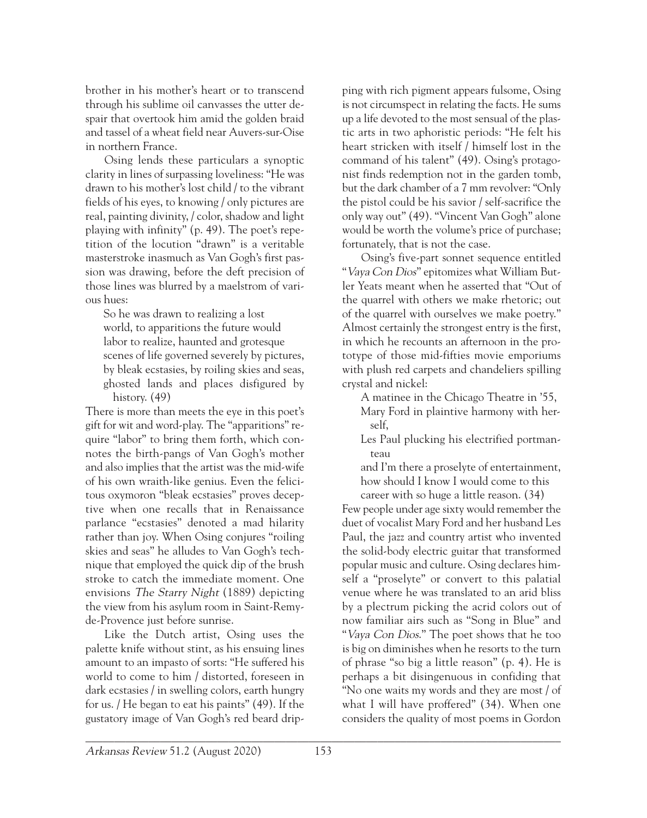brother in his mother's heart or to transcend through his sublime oil canvasses the utter despair that overtook him amid the golden braid and tassel of a wheat field near Auvers-sur-Oise in northern France.

Osing lends these particulars a synoptic clarity in lines of surpassing loveliness: "He was drawn to his mother's lost child / to the vibrant fields of his eyes, to knowing / only pictures are real, painting divinity, / color, shadow and light playing with infinity" (p. 49). The poet's repetition of the locution "drawn" is a veritable masterstroke inasmuch as Van Gogh's first passion was drawing, before the deft precision of those lines was blurred by a maelstrom of various hues:

So he was drawn to realizing a lost world, to apparitions the future would labor to realize, haunted and grotesque scenes of life governed severely by pictures, by bleak ecstasies, by roiling skies and seas, ghosted lands and places disfigured by history. (49)

There is more than meets the eye in this poet's gift for wit and word-play. The "apparitions" require "labor" to bring them forth, which connotes the birth-pangs of Van Gogh's mother and also implies that the artist was the mid-wife of his own wraith-like genius. Even the felicitous oxymoron "bleak ecstasies" proves deceptive when one recalls that in Renaissance parlance "ecstasies" denoted a mad hilarity rather than joy. When Osing conjures "roiling skies and seas" he alludes to Van Gogh's technique that employed the quick dip of the brush stroke to catch the immediate moment. One envisions The Starry Night (1889) depicting the view from his asylum room in Saint-Remyde-Provence just before sunrise.

Like the Dutch artist, Osing uses the palette knife without stint, as his ensuing lines amount to an impasto of sorts: "He suffered his world to come to him / distorted, foreseen in dark ecstasies / in swelling colors, earth hungry for us. / He began to eat his paints" (49). If the gustatory image of Van Gogh's red beard dripping with rich pigment appears fulsome, Osing is not circumspect in relating the facts. He sums up a life devoted to the most sensual of the plastic arts in two aphoristic periods: "He felt his heart stricken with itself / himself lost in the command of his talent" (49). Osing's protagonist finds redemption not in the garden tomb, but the dark chamber of a 7 mm revolver: "Only the pistol could be his savior / self-sacrifice the only way out" (49). "Vincent Van Gogh" alone would be worth the volume's price of purchase; fortunately, that is not the case.

Osing's five-part sonnet sequence entitled "Vaya Con Dios" epitomizes what William Butler Yeats meant when he asserted that "Out of the quarrel with others we make rhetoric; out of the quarrel with ourselves we make poetry." Almost certainly the strongest entry is the first, in which he recounts an afternoon in the prototype of those mid-fifties movie emporiums with plush red carpets and chandeliers spilling crystal and nickel:

A matinee in the Chicago Theatre in '55, Mary Ford in plaintive harmony with herself,

Les Paul plucking his electrified portmanteau

and I'm there a proselyte of entertainment, how should I know I would come to this career with so huge a little reason. (34)

Few people under age sixty would remember the duet of vocalist Mary Ford and her husband Les Paul, the jazz and country artist who invented the solid-body electric guitar that transformed popular music and culture. Osing declares himself a "proselyte" or convert to this palatial venue where he was translated to an arid bliss by a plectrum picking the acrid colors out of now familiar airs such as "Song in Blue" and "Vaya Con Dios." The poet shows that he too is big on diminishes when he resorts to the turn of phrase "so big a little reason" (p. 4). He is perhaps a bit disingenuous in confiding that "No one waits my words and they are most / of what I will have proffered" (34). When one considers the quality of most poems in Gordon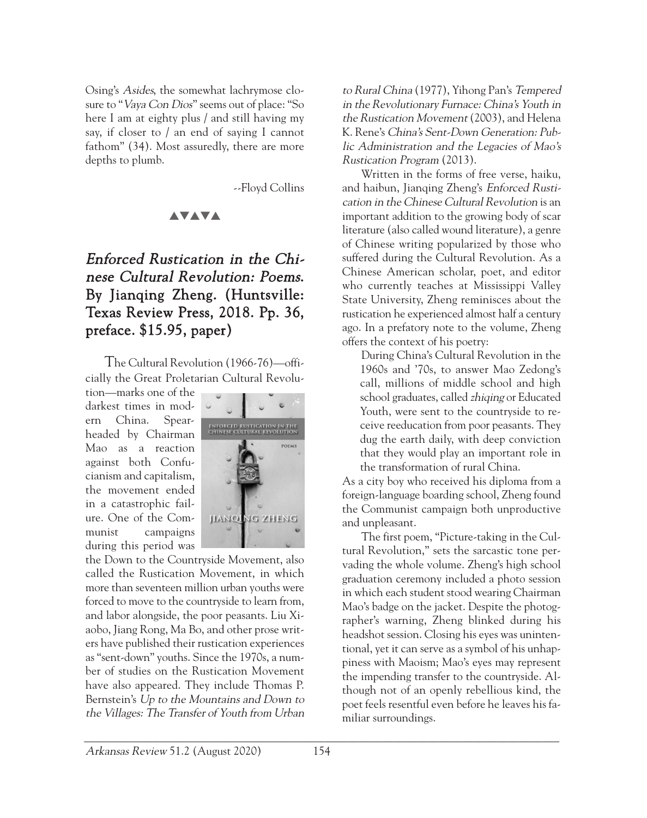Osing's Asides, the somewhat lachrymose closure to "Vaya Con Dios" seems out of place: "So here I am at eighty plus / and still having my say, if closer to / an end of saying I cannot fathom" (34). Most assuredly, there are more depths to plumb.

--Floyd Collins

#### **AVAVA**

## Enforced Rustication in the Chinese Cultural Revolution: Poems. By Jianqing Zheng. (Huntsville: Texas Review Press, 2018. Pp. 36, preface. \$15.95, paper)

The Cultural Revolution (1966-76)—officially the Great Proletarian Cultural Revolu-

tion—marks one of the darkest times in modern China. Spearheaded by Chairman Mao as a reaction against both Confucianism and capitalism, the movement ended in a catastrophic failure. One of the Communist campaigns during this period was



the Down to the Countryside Movement, also called the Rustication Movement, in which more than seventeen million urban youths were forced to move to the countryside to learn from, and labor alongside, the poor peasants. Liu Xiaobo, Jiang Rong, Ma Bo, and other prose writers have published their rustication experiences as "sent-down" youths. Since the 1970s, a number of studies on the Rustication Movement have also appeared. They include Thomas P. Bernstein's Up to the Mountains and Down to the Villages: The Transfer of Youth from Urban to Rural China (1977), Yihong Pan's Tempered in the Revolutionary Furnace: China's Youth in the Rustication Movement (2003), and Helena K. Rene's China's Sent-Down Generation: Public Administration and the Legacies of Mao's Rustication Program (2013).

Written in the forms of free verse, haiku, and haibun, Jianqing Zheng's Enforced Rustication in the Chinese Cultural Revolution is an important addition to the growing body of scar literature (also called wound literature), a genre of Chinese writing popularized by those who suffered during the Cultural Revolution. As a Chinese American scholar, poet, and editor who currently teaches at Mississippi Valley State University, Zheng reminisces about the rustication he experienced almost half a century ago. In a prefatory note to the volume, Zheng offers the context of his poetry:

During China's Cultural Revolution in the 1960s and '70s, to answer Mao Zedong's call, millions of middle school and high school graduates, called *zhiqing* or Educated Youth, were sent to the countryside to receive reeducation from poor peasants. They dug the earth daily, with deep conviction that they would play an important role in the transformation of rural China.

As a city boy who received his diploma from a foreign-language boarding school, Zheng found the Communist campaign both unproductive and unpleasant.

The first poem, "Picture-taking in the Cultural Revolution," sets the sarcastic tone pervading the whole volume. Zheng's high school graduation ceremony included a photo session in which each student stood wearing Chairman Mao's badge on the jacket. Despite the photographer's warning, Zheng blinked during his headshot session. Closing his eyes was unintentional, yet it can serve as a symbol of his unhappiness with Maoism; Mao's eyes may represent the impending transfer to the countryside. Although not of an openly rebellious kind, the poet feels resentful even before he leaves his familiar surroundings.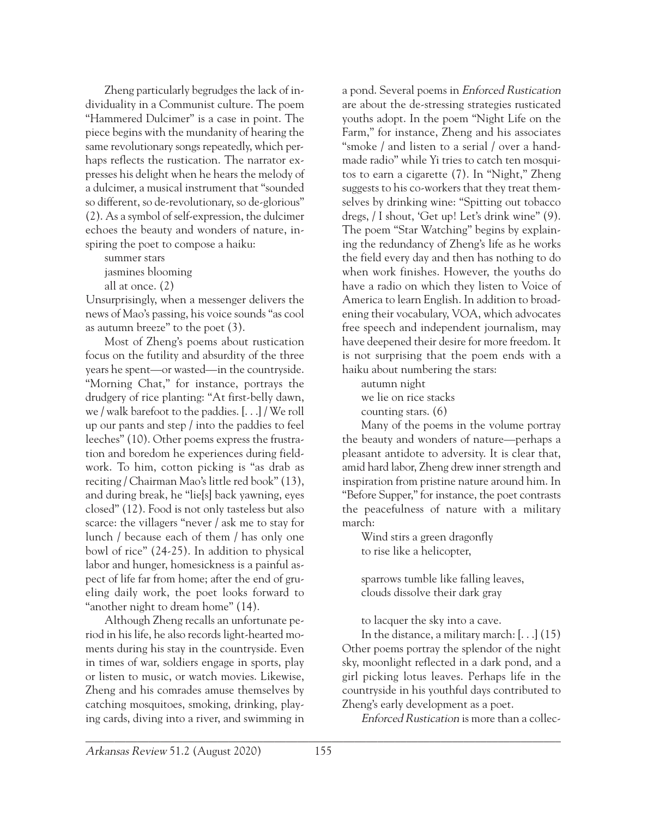Zheng particularly begrudges the lack of individuality in a Communist culture. The poem "Hammered Dulcimer" is a case in point. The piece begins with the mundanity of hearing the same revolutionary songs repeatedly, which perhaps reflects the rustication. The narrator expresses his delight when he hears the melody of a dulcimer, a musical instrument that "sounded so different, so de-revolutionary, so de-glorious" (2). As a symbol of self-expression, the dulcimer echoes the beauty and wonders of nature, inspiring the poet to compose a haiku:

summer stars jasmines blooming all at once. (2)

Unsurprisingly, when a messenger delivers the news of Mao's passing, his voice sounds "as cool as autumn breeze" to the poet (3).

Most of Zheng's poems about rustication focus on the futility and absurdity of the three years he spent—or wasted—in the countryside. "Morning Chat," for instance, portrays the drudgery of rice planting: "At first-belly dawn, we / walk barefoot to the paddies. [. . .] / We roll up our pants and step / into the paddies to feel leeches" (10). Other poems express the frustration and boredom he experiences during fieldwork. To him, cotton picking is "as drab as reciting / Chairman Mao's little red book" (13), and during break, he "lie[s] back yawning, eyes closed" (12). Food is not only tasteless but also scarce: the villagers "never / ask me to stay for lunch / because each of them / has only one bowl of rice" (24-25). In addition to physical labor and hunger, homesickness is a painful aspect of life far from home; after the end of grueling daily work, the poet looks forward to "another night to dream home" (14).

Although Zheng recalls an unfortunate period in his life, he also records light-hearted moments during his stay in the countryside. Even in times of war, soldiers engage in sports, play or listen to music, or watch movies. Likewise, Zheng and his comrades amuse themselves by catching mosquitoes, smoking, drinking, playing cards, diving into a river, and swimming in

a pond. Several poems in Enforced Rustication are about the de-stressing strategies rusticated youths adopt. In the poem "Night Life on the Farm," for instance, Zheng and his associates "smoke / and listen to a serial / over a handmade radio" while Yi tries to catch ten mosquitos to earn a cigarette (7). In "Night," Zheng suggests to his co-workers that they treat themselves by drinking wine: "Spitting out tobacco dregs, / I shout, 'Get up! Let's drink wine" (9). The poem "Star Watching" begins by explaining the redundancy of Zheng's life as he works the field every day and then has nothing to do when work finishes. However, the youths do have a radio on which they listen to Voice of America to learn English. In addition to broadening their vocabulary, VOA, which advocates free speech and independent journalism, may have deepened their desire for more freedom. It is not surprising that the poem ends with a haiku about numbering the stars:

autumn night

we lie on rice stacks

counting stars. (6)

Many of the poems in the volume portray the beauty and wonders of nature—perhaps a pleasant antidote to adversity. It is clear that, amid hard labor, Zheng drew inner strength and inspiration from pristine nature around him. In "Before Supper," for instance, the poet contrasts the peacefulness of nature with a military march:

Wind stirs a green dragonfly to rise like a helicopter,

sparrows tumble like falling leaves, clouds dissolve their dark gray

to lacquer the sky into a cave.

In the distance, a military march: [. . .] (15) Other poems portray the splendor of the night sky, moonlight reflected in a dark pond, and a girl picking lotus leaves. Perhaps life in the countryside in his youthful days contributed to Zheng's early development as a poet.

Enforced Rustication is more than a collec-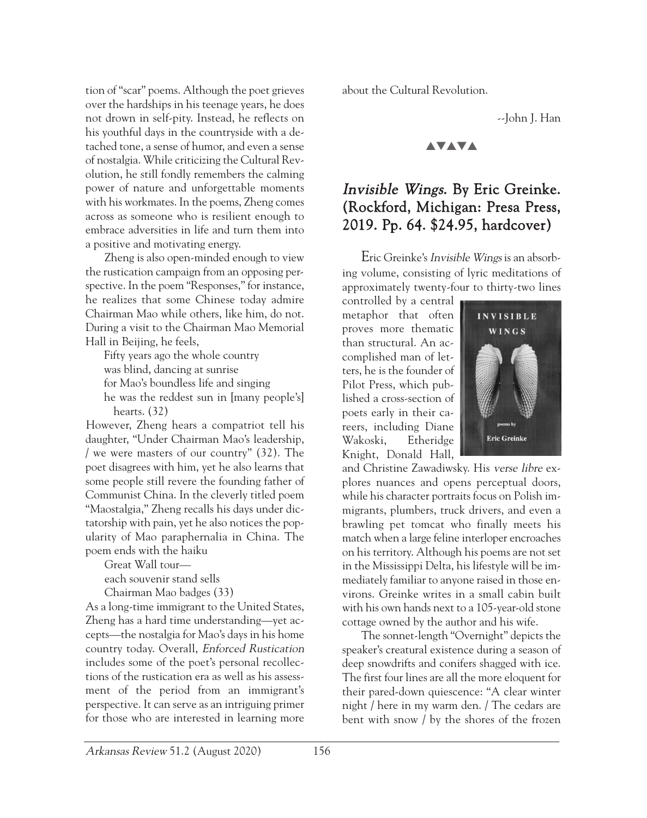tion of "scar" poems. Although the poet grieves over the hardships in his teenage years, he does not drown in self-pity. Instead, he reflects on his youthful days in the countryside with a detached tone, a sense of humor, and even a sense of nostalgia. While criticizing the Cultural Revolution, he still fondly remembers the calming power of nature and unforgettable moments with his workmates. In the poems, Zheng comes across as someone who is resilient enough to embrace adversities in life and turn them into a positive and motivating energy.

Zheng is also open-minded enough to view the rustication campaign from an opposing perspective. In the poem "Responses," for instance, he realizes that some Chinese today admire Chairman Mao while others, like him, do not. During a visit to the Chairman Mao Memorial Hall in Beijing, he feels,

Fifty years ago the whole country was blind, dancing at sunrise for Mao's boundless life and singing he was the reddest sun in [many people's] hearts. (32)

However, Zheng hears a compatriot tell his daughter, "Under Chairman Mao's leadership, / we were masters of our country" (32). The poet disagrees with him, yet he also learns that some people still revere the founding father of Communist China. In the cleverly titled poem "Maostalgia," Zheng recalls his days under dictatorship with pain, yet he also notices the popularity of Mao paraphernalia in China. The poem ends with the haiku

Great Wall tour—

each souvenir stand sells

Chairman Mao badges (33)

As a long-time immigrant to the United States, Zheng has a hard time understanding—yet accepts—the nostalgia for Mao's days in his home country today. Overall, Enforced Rustication includes some of the poet's personal recollections of the rustication era as well as his assessment of the period from an immigrant's perspective. It can serve as an intriguing primer for those who are interested in learning more

about the Cultural Revolution.

--John J. Han

#### **AVAVA**

## Invisible Wings. By Eric Greinke. (Rockford, Michigan: Presa Press, 2019. Pp. 64. \$24.95, hardcover)

Eric Greinke's Invisible Wings is an absorbing volume, consisting of lyric meditations of approximately twenty-four to thirty-two lines

controlled by a central metaphor that often proves more thematic than structural. An accomplished man of letters, he is the founder of Pilot Press, which published a cross-section of poets early in their careers, including Diane Wakoski, Etheridge Knight, Donald Hall,



and Christine Zawadiwsky. His verse libre explores nuances and opens perceptual doors, while his character portraits focus on Polish immigrants, plumbers, truck drivers, and even a brawling pet tomcat who finally meets his match when a large feline interloper encroaches on his territory. Although his poems are not set in the Mississippi Delta, his lifestyle will be immediately familiar to anyone raised in those environs. Greinke writes in a small cabin built with his own hands next to a 105-year-old stone cottage owned by the author and his wife.

The sonnet-length "Overnight" depicts the speaker's creatural existence during a season of deep snowdrifts and conifers shagged with ice. The first four lines are all the more eloquent for their pared-down quiescence: "A clear winter night / here in my warm den. / The cedars are bent with snow / by the shores of the frozen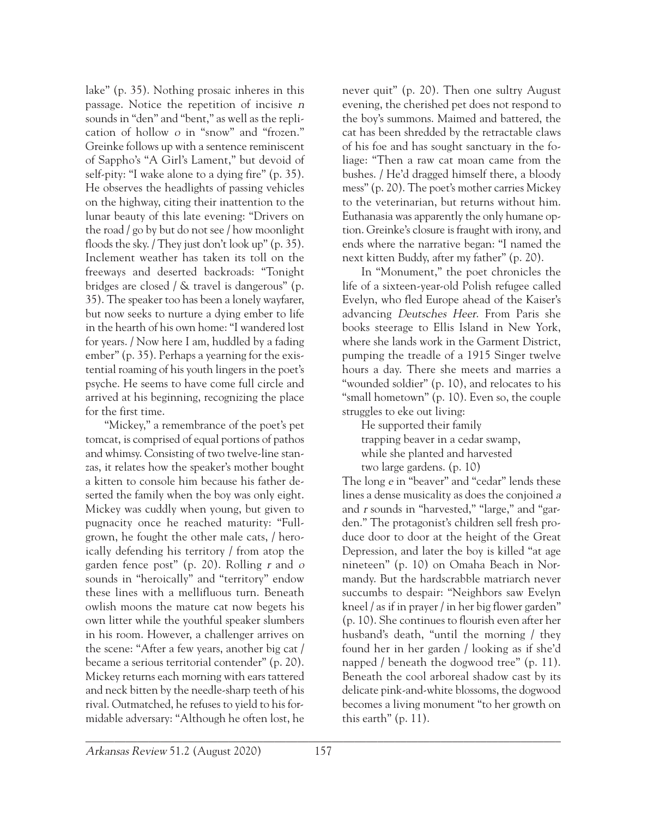lake" (p. 35). Nothing prosaic inheres in this passage. Notice the repetition of incisive <sup>n</sup> sounds in "den" and "bent," as well as the replication of hollow <sup>o</sup> in "snow" and "frozen." Greinke follows up with a sentence reminiscent of Sappho's "A Girl's Lament," but devoid of self-pity: "I wake alone to a dying fire" (p. 35). He observes the headlights of passing vehicles on the highway, citing their inattention to the lunar beauty of this late evening: "Drivers on the road / go by but do not see / how moonlight floods the sky. / They just don't look up" (p. 35). Inclement weather has taken its toll on the freeways and deserted backroads: "Tonight bridges are closed / & travel is dangerous" (p. 35). The speaker too has been a lonely wayfarer, but now seeks to nurture a dying ember to life in the hearth of his own home: "I wandered lost for years. / Now here I am, huddled by a fading ember" (p. 35). Perhaps a yearning for the existential roaming of his youth lingers in the poet's psyche. He seems to have come full circle and arrived at his beginning, recognizing the place for the first time.

"Mickey," a remembrance of the poet's pet tomcat, is comprised of equal portions of pathos and whimsy. Consisting of two twelve-line stanzas, it relates how the speaker's mother bought a kitten to console him because his father deserted the family when the boy was only eight. Mickey was cuddly when young, but given to pugnacity once he reached maturity: "Fullgrown, he fought the other male cats, / heroically defending his territory / from atop the garden fence post" (p. 20). Rolling  $r$  and  $o$ sounds in "heroically" and "territory" endow these lines with a mellifluous turn. Beneath owlish moons the mature cat now begets his own litter while the youthful speaker slumbers in his room. However, a challenger arrives on the scene: "After a few years, another big cat / became a serious territorial contender" (p. 20). Mickey returns each morning with ears tattered and neck bitten by the needle-sharp teeth of his rival. Outmatched, he refuses to yield to his formidable adversary: "Although he often lost, he

never quit" (p. 20). Then one sultry August evening, the cherished pet does not respond to the boy's summons. Maimed and battered, the cat has been shredded by the retractable claws of his foe and has sought sanctuary in the foliage: "Then a raw cat moan came from the bushes. / He'd dragged himself there, a bloody mess" (p. 20). The poet's mother carries Mickey to the veterinarian, but returns without him. Euthanasia was apparently the only humane option. Greinke's closure is fraught with irony, and ends where the narrative began: "I named the next kitten Buddy, after my father" (p. 20).

In "Monument," the poet chronicles the life of a sixteen-year-old Polish refugee called Evelyn, who fled Europe ahead of the Kaiser's advancing Deutsches Heer. From Paris she books steerage to Ellis Island in New York, where she lands work in the Garment District, pumping the treadle of a 1915 Singer twelve hours a day. There she meets and marries a "wounded soldier" (p. 10), and relocates to his "small hometown" (p. 10). Even so, the couple struggles to eke out living:

He supported their family trapping beaver in a cedar swamp, while she planted and harvested two large gardens. (p. 10)

The long <sup>e</sup> in "beaver" and "cedar" lends these lines a dense musicality as does the conjoined <sup>a</sup> and <sup>r</sup> sounds in "harvested," "large," and "garden." The protagonist's children sell fresh produce door to door at the height of the Great Depression, and later the boy is killed "at age nineteen" (p. 10) on Omaha Beach in Normandy. But the hardscrabble matriarch never succumbs to despair: "Neighbors saw Evelyn kneel / as if in prayer / in her big flower garden" (p. 10). She continues to flourish even after her husband's death, "until the morning / they found her in her garden / looking as if she'd napped / beneath the dogwood tree" (p. 11). Beneath the cool arboreal shadow cast by its delicate pink-and-white blossoms, the dogwood becomes a living monument "to her growth on this earth" (p. 11).